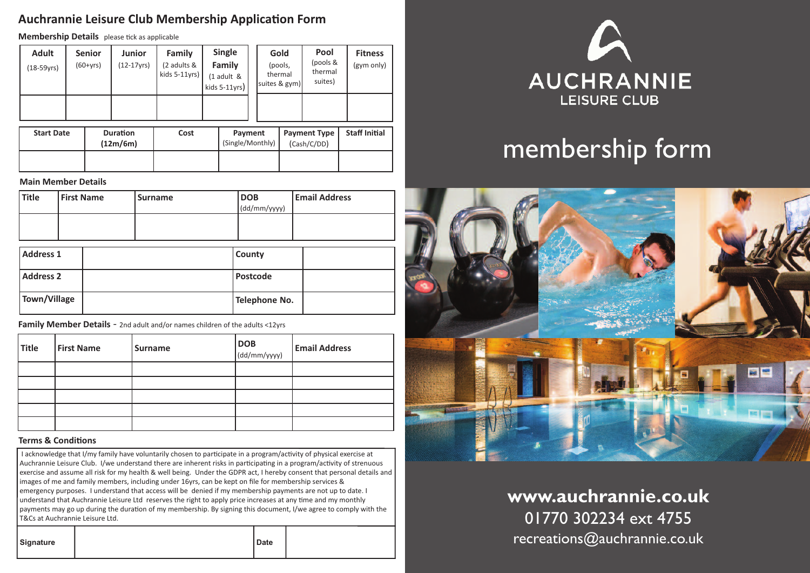## **Auchrannie Leisure Club Membership Application Form**

**Membership Details** please tick as applicable

| <b>Adult</b><br>$(18-59\gamma rs)$ | <b>Senior</b><br>(60+yrs) | <b>Junior</b><br>$(12-17yrs)$ | Family<br>(2 adults &<br>kids 5-11yrs) | <b>Single</b><br>Family<br>$(1$ adult &<br>kids $5-11$ yrs) |  | Gold<br>(pools,<br>thermal<br>suites & gym) | Pool<br>(pools &<br>thermal<br>suites) | <b>Fitness</b><br>(gym only) |
|------------------------------------|---------------------------|-------------------------------|----------------------------------------|-------------------------------------------------------------|--|---------------------------------------------|----------------------------------------|------------------------------|
| <b>Start Date</b>                  |                           | <b>Duration</b><br>(12m/6m)   | Cost                                   | Payment<br>(Single/Monthly)                                 |  |                                             | <b>Payment Type</b><br>(Cash/C/DD)     | <b>Staff Initial</b>         |

#### **Main Member Details**

| l Title | <b>First Name</b> | l Surname | <b>DOB</b>           | l Email Address |
|---------|-------------------|-----------|----------------------|-----------------|
|         |                   |           | $\vert$ (dd/mm/yyyy) |                 |
|         |                   |           |                      |                 |
|         |                   |           |                      |                 |
|         |                   |           |                      |                 |

| Address 1            | County          |  |
|----------------------|-----------------|--|
| Address <sub>2</sub> | <b>Postcode</b> |  |
| Town/Village         | Telephone No.   |  |

**Family Member Details** - 2nd adult and/or names children of the adults <12yrs

| Title | <b>First Name</b> | <b>Surname</b> | $DOB$<br>(dd/mm/yyyy) | <b>Email Address</b> |
|-------|-------------------|----------------|-----------------------|----------------------|
|       |                   |                |                       |                      |
|       |                   |                |                       |                      |
|       |                   |                |                       |                      |
|       |                   |                |                       |                      |
|       |                   |                |                       |                      |

#### **Terms & Conditions**

I acknowledge that I/my family have voluntarily chosen to participate in <sup>a</sup> program/activity of physical exercise at Auchrannie Leisure Club. I/we understand there are inherent risks in participating in <sup>a</sup> program/activity of strenuous exercise and assume all risk for my health & well being. Under the GDPR act, I hereby consent that personal details and images of me and family members, including under 16yrs, can be kept on file for membership services & emergency purposes. I understand that access will be denied if my membership payments are not up to date. I understand that Auchrannie Leisure Ltd reserves the right to apply price increases at any time and my monthly payments may go up during the duration of my membership. By signing this document, I/we agree to comply with the T&Cs at Auchrannie Leisure Ltd.

Signature **Date** 

| ٦ |  |
|---|--|
|   |  |



# membership form



# **www.auchrannie.co.uk**

01770 302234 ext 4755 recreations@auchrannie.co.uk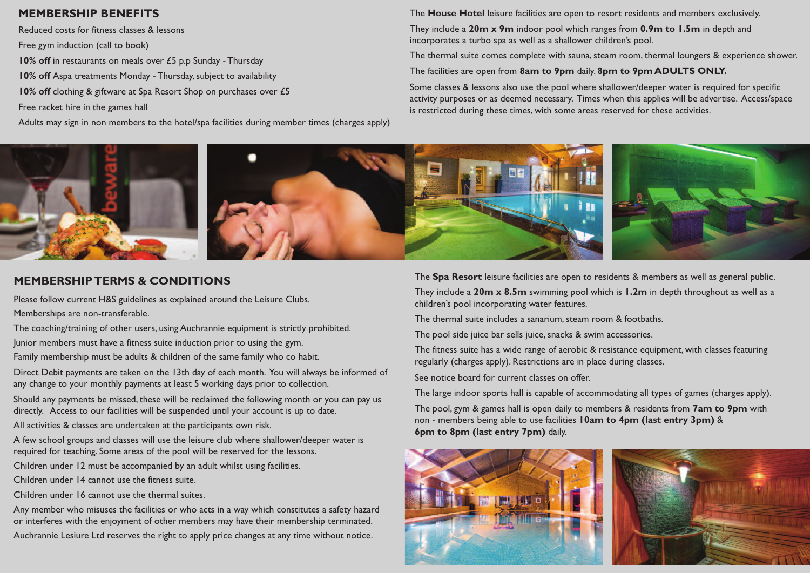#### **MEMBERSHIP BENEFITS**

Reduced costs for fitness classes & lessons Free gym induction (call to book)

**10% off** in restaurants on meals over £5 p.p Sunday - Thursday

**10% off** Aspa treatments Monday - Thursday, subject to availability

- **10% off** clothing & giftware at Spa Resort Shop on purchases over £5
- Free racket hire in the games hall

Adults may sign in non members to the hotel/spa facilities during member times (charges apply)

The **House Hotel** leisure facilities are open to resort residents and members exclusively.

They include a **20m x 9m** indoor pool which ranges from **0.9m to 1.5m** in depth and incorporates a turbo spa as well as a shallower children's pool.

The thermal suite comes complete with sauna, steam room, thermal loungers & experience shower.

The facilities are open from **8am to 9pm** daily. **8pm to 9pm ADULTS ONLY.**

Some classes & lessons also use the pool where shallower/deeper water is required for specific activity purposes or as deemed necessary. Times when this applies will be advertise. Access/space is restricted during these times, with some areas reserved for these activities.



#### **MEMBERSHIPTERMS & CONDITIONS**

Please follow current H&S guidelines as explained around the Leisure Clubs.

Memberships are non-transferable.

The coaching/training of other users, using Auchrannie equipment is strictly prohibited.

Junior members must have a fitness suite induction prior to using the gym.

Family membership must be adults & children of the same family who co habit.

Direct Debit payments are taken on the 13th day of each month. You will always be informed of any change to your monthly payments at least 5 working days prior to collection.

Should any payments be missed, these will be reclaimed the following month or you can pay us directly. Access to our facilities will be suspended until your account is up to date.

All activities & classes are undertaken at the participants own risk.

A few school groups and classes will use the leisure club where shallower/deeper water is required for teaching. Some areas of the pool will be reserved for the lessons.

Children under 12 must be accompanied by an adult whilst using facilities.

Children under 14 cannot use the fitness suite.

Children under 16 cannot use the thermal suites.

Any member who misuses the facilities or who acts in a way which constitutes a safety hazard or interferes with the enjoyment of other members may have their membership terminated. Auchrannie Lesiure Ltd reserves the right to apply price changes at any time without notice.

The **Spa Resort** leisure facilities are open to residents & members as well as general public.

They include a **20m x 8.5m** swimming pool which is **1.2m** in depth throughout as well as a children's pool incorporating water features.

The thermal suite includes a sanarium, steam room & footbaths.

The pool side juice bar sells juice, snacks & swim accessories.

The fitness suite has a wide range of aerobic & resistance equipment, with classes featuring regularly (charges apply). Restrictions are in place during classes.

See notice board for current classes on offer.

The large indoor sports hall is capable of accommodating all types of games (charges apply).

The pool, gym & games hall is open daily to members & residents from **7am to 9pm** with non - members being able to use facilities **10am to 4pm (last entry 3pm)** & **6pm to 8pm (last entry 7pm)** daily.